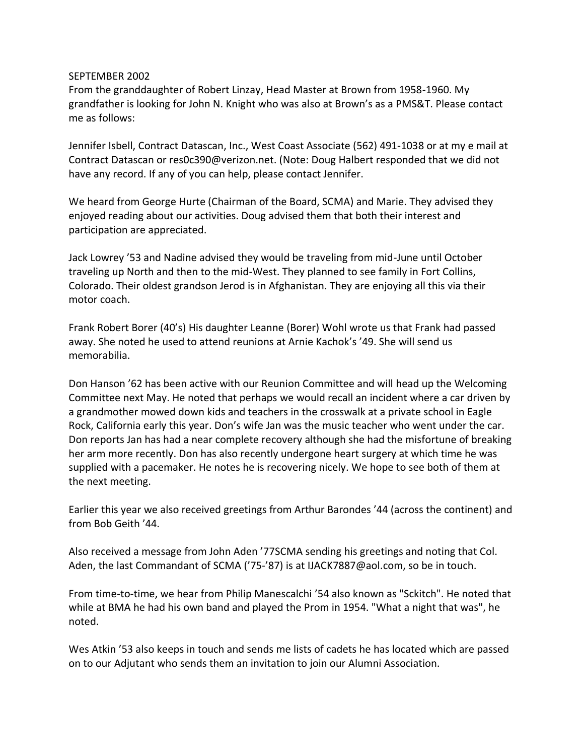## SEPTEMBER 2002

From the granddaughter of Robert Linzay, Head Master at Brown from 1958-1960. My grandfather is looking for John N. Knight who was also at Brown's as a PMS&T. Please contact me as follows:

Jennifer Isbell, Contract Datascan, Inc., West Coast Associate (562) 491-1038 or at my e mail at Contract Datascan or res0c390@verizon.net. (Note: Doug Halbert responded that we did not have any record. If any of you can help, please contact Jennifer.

We heard from George Hurte (Chairman of the Board, SCMA) and Marie. They advised they enjoyed reading about our activities. Doug advised them that both their interest and participation are appreciated.

Jack Lowrey '53 and Nadine advised they would be traveling from mid-June until October traveling up North and then to the mid-West. They planned to see family in Fort Collins, Colorado. Their oldest grandson Jerod is in Afghanistan. They are enjoying all this via their motor coach.

Frank Robert Borer (40's) His daughter Leanne (Borer) Wohl wrote us that Frank had passed away. She noted he used to attend reunions at Arnie Kachok's '49. She will send us memorabilia.

Don Hanson '62 has been active with our Reunion Committee and will head up the Welcoming Committee next May. He noted that perhaps we would recall an incident where a car driven by a grandmother mowed down kids and teachers in the crosswalk at a private school in Eagle Rock, California early this year. Don's wife Jan was the music teacher who went under the car. Don reports Jan has had a near complete recovery although she had the misfortune of breaking her arm more recently. Don has also recently undergone heart surgery at which time he was supplied with a pacemaker. He notes he is recovering nicely. We hope to see both of them at the next meeting.

Earlier this year we also received greetings from Arthur Barondes '44 (across the continent) and from Bob Geith '44.

Also received a message from John Aden '77SCMA sending his greetings and noting that Col. Aden, the last Commandant of SCMA ('75-'87) is at IJACK7887@aol.com, so be in touch.

From time-to-time, we hear from Philip Manescalchi '54 also known as "Sckitch". He noted that while at BMA he had his own band and played the Prom in 1954. "What a night that was", he noted.

Wes Atkin '53 also keeps in touch and sends me lists of cadets he has located which are passed on to our Adjutant who sends them an invitation to join our Alumni Association.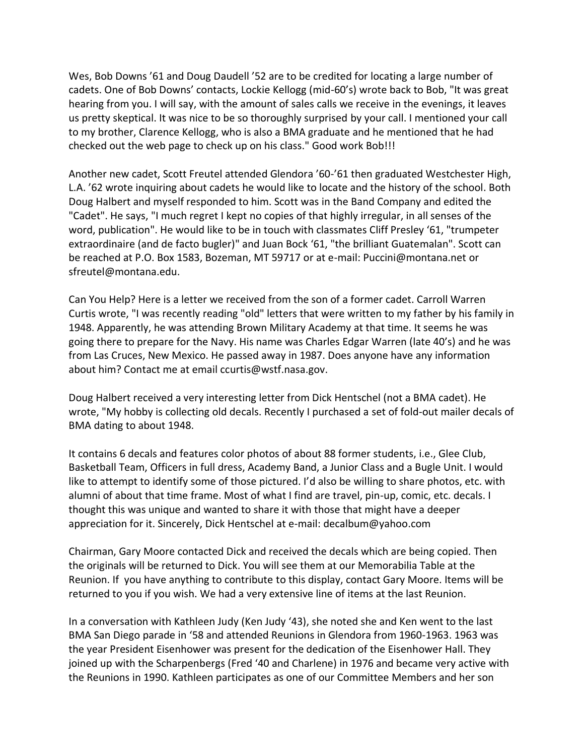Wes, Bob Downs '61 and Doug Daudell '52 are to be credited for locating a large number of cadets. One of Bob Downs' contacts, Lockie Kellogg (mid-60's) wrote back to Bob, "It was great hearing from you. I will say, with the amount of sales calls we receive in the evenings, it leaves us pretty skeptical. It was nice to be so thoroughly surprised by your call. I mentioned your call to my brother, Clarence Kellogg, who is also a BMA graduate and he mentioned that he had checked out the web page to check up on his class." Good work Bob!!!

Another new cadet, Scott Freutel attended Glendora '60-'61 then graduated Westchester High, L.A. '62 wrote inquiring about cadets he would like to locate and the history of the school. Both Doug Halbert and myself responded to him. Scott was in the Band Company and edited the "Cadet". He says, "I much regret I kept no copies of that highly irregular, in all senses of the word, publication". He would like to be in touch with classmates Cliff Presley '61, "trumpeter extraordinaire (and de facto bugler)" and Juan Bock '61, "the brilliant Guatemalan". Scott can be reached at P.O. Box 1583, Bozeman, MT 59717 or at e-mail: Puccini@montana.net or sfreutel@montana.edu.

Can You Help? Here is a letter we received from the son of a former cadet. Carroll Warren Curtis wrote, "I was recently reading "old" letters that were written to my father by his family in 1948. Apparently, he was attending Brown Military Academy at that time. It seems he was going there to prepare for the Navy. His name was Charles Edgar Warren (late 40's) and he was from Las Cruces, New Mexico. He passed away in 1987. Does anyone have any information about him? Contact me at email ccurtis@wstf.nasa.gov.

Doug Halbert received a very interesting letter from Dick Hentschel (not a BMA cadet). He wrote, "My hobby is collecting old decals. Recently I purchased a set of fold-out mailer decals of BMA dating to about 1948.

It contains 6 decals and features color photos of about 88 former students, i.e., Glee Club, Basketball Team, Officers in full dress, Academy Band, a Junior Class and a Bugle Unit. I would like to attempt to identify some of those pictured. I'd also be willing to share photos, etc. with alumni of about that time frame. Most of what I find are travel, pin-up, comic, etc. decals. I thought this was unique and wanted to share it with those that might have a deeper appreciation for it. Sincerely, Dick Hentschel at e-mail: decalbum@yahoo.com

Chairman, Gary Moore contacted Dick and received the decals which are being copied. Then the originals will be returned to Dick. You will see them at our Memorabilia Table at the Reunion. If you have anything to contribute to this display, contact Gary Moore. Items will be returned to you if you wish. We had a very extensive line of items at the last Reunion.

In a conversation with Kathleen Judy (Ken Judy '43), she noted she and Ken went to the last BMA San Diego parade in '58 and attended Reunions in Glendora from 1960-1963. 1963 was the year President Eisenhower was present for the dedication of the Eisenhower Hall. They joined up with the Scharpenbergs (Fred '40 and Charlene) in 1976 and became very active with the Reunions in 1990. Kathleen participates as one of our Committee Members and her son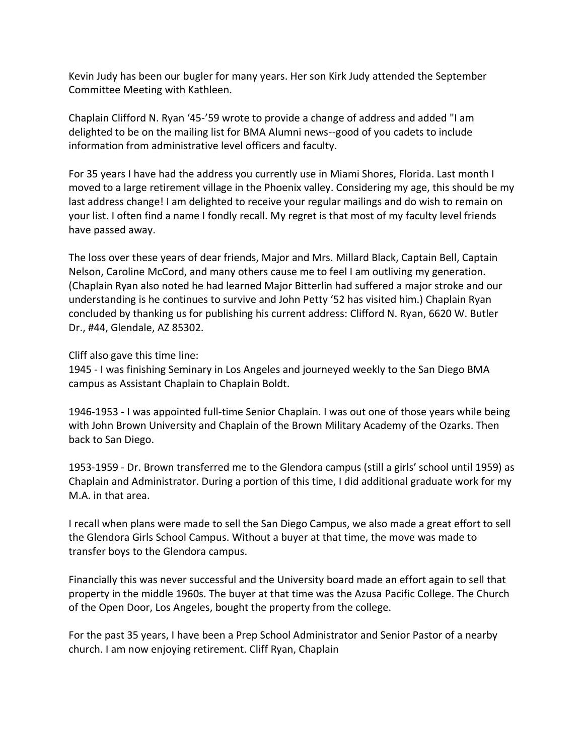Kevin Judy has been our bugler for many years. Her son Kirk Judy attended the September Committee Meeting with Kathleen.

Chaplain Clifford N. Ryan '45-'59 wrote to provide a change of address and added "I am delighted to be on the mailing list for BMA Alumni news--good of you cadets to include information from administrative level officers and faculty.

For 35 years I have had the address you currently use in Miami Shores, Florida. Last month I moved to a large retirement village in the Phoenix valley. Considering my age, this should be my last address change! I am delighted to receive your regular mailings and do wish to remain on your list. I often find a name I fondly recall. My regret is that most of my faculty level friends have passed away.

The loss over these years of dear friends, Major and Mrs. Millard Black, Captain Bell, Captain Nelson, Caroline McCord, and many others cause me to feel I am outliving my generation. (Chaplain Ryan also noted he had learned Major Bitterlin had suffered a major stroke and our understanding is he continues to survive and John Petty '52 has visited him.) Chaplain Ryan concluded by thanking us for publishing his current address: Clifford N. Ryan, 6620 W. Butler Dr., #44, Glendale, AZ 85302.

Cliff also gave this time line:

1945 - I was finishing Seminary in Los Angeles and journeyed weekly to the San Diego BMA campus as Assistant Chaplain to Chaplain Boldt.

1946-1953 - I was appointed full-time Senior Chaplain. I was out one of those years while being with John Brown University and Chaplain of the Brown Military Academy of the Ozarks. Then back to San Diego.

1953-1959 - Dr. Brown transferred me to the Glendora campus (still a girls' school until 1959) as Chaplain and Administrator. During a portion of this time, I did additional graduate work for my M.A. in that area.

I recall when plans were made to sell the San Diego Campus, we also made a great effort to sell the Glendora Girls School Campus. Without a buyer at that time, the move was made to transfer boys to the Glendora campus.

Financially this was never successful and the University board made an effort again to sell that property in the middle 1960s. The buyer at that time was the Azusa Pacific College. The Church of the Open Door, Los Angeles, bought the property from the college.

For the past 35 years, I have been a Prep School Administrator and Senior Pastor of a nearby church. I am now enjoying retirement. Cliff Ryan, Chaplain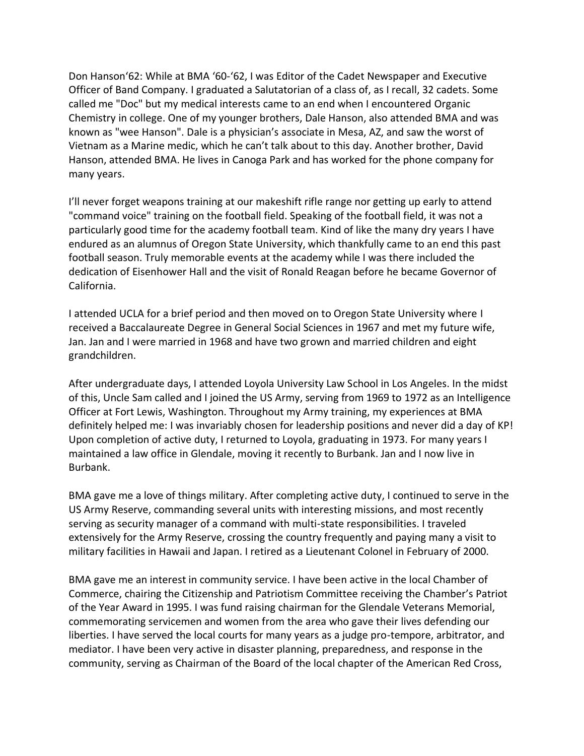Don Hanson'62: While at BMA '60-'62, I was Editor of the Cadet Newspaper and Executive Officer of Band Company. I graduated a Salutatorian of a class of, as I recall, 32 cadets. Some called me "Doc" but my medical interests came to an end when I encountered Organic Chemistry in college. One of my younger brothers, Dale Hanson, also attended BMA and was known as "wee Hanson". Dale is a physician's associate in Mesa, AZ, and saw the worst of Vietnam as a Marine medic, which he can't talk about to this day. Another brother, David Hanson, attended BMA. He lives in Canoga Park and has worked for the phone company for many years.

I'll never forget weapons training at our makeshift rifle range nor getting up early to attend "command voice" training on the football field. Speaking of the football field, it was not a particularly good time for the academy football team. Kind of like the many dry years I have endured as an alumnus of Oregon State University, which thankfully came to an end this past football season. Truly memorable events at the academy while I was there included the dedication of Eisenhower Hall and the visit of Ronald Reagan before he became Governor of California.

I attended UCLA for a brief period and then moved on to Oregon State University where I received a Baccalaureate Degree in General Social Sciences in 1967 and met my future wife, Jan. Jan and I were married in 1968 and have two grown and married children and eight grandchildren.

After undergraduate days, I attended Loyola University Law School in Los Angeles. In the midst of this, Uncle Sam called and I joined the US Army, serving from 1969 to 1972 as an Intelligence Officer at Fort Lewis, Washington. Throughout my Army training, my experiences at BMA definitely helped me: I was invariably chosen for leadership positions and never did a day of KP! Upon completion of active duty, I returned to Loyola, graduating in 1973. For many years I maintained a law office in Glendale, moving it recently to Burbank. Jan and I now live in Burbank.

BMA gave me a love of things military. After completing active duty, I continued to serve in the US Army Reserve, commanding several units with interesting missions, and most recently serving as security manager of a command with multi-state responsibilities. I traveled extensively for the Army Reserve, crossing the country frequently and paying many a visit to military facilities in Hawaii and Japan. I retired as a Lieutenant Colonel in February of 2000.

BMA gave me an interest in community service. I have been active in the local Chamber of Commerce, chairing the Citizenship and Patriotism Committee receiving the Chamber's Patriot of the Year Award in 1995. I was fund raising chairman for the Glendale Veterans Memorial, commemorating servicemen and women from the area who gave their lives defending our liberties. I have served the local courts for many years as a judge pro-tempore, arbitrator, and mediator. I have been very active in disaster planning, preparedness, and response in the community, serving as Chairman of the Board of the local chapter of the American Red Cross,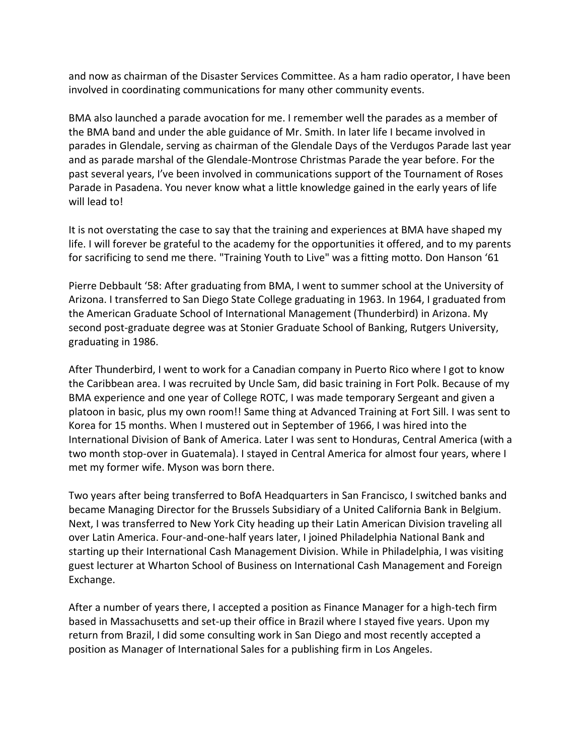and now as chairman of the Disaster Services Committee. As a ham radio operator, I have been involved in coordinating communications for many other community events.

BMA also launched a parade avocation for me. I remember well the parades as a member of the BMA band and under the able guidance of Mr. Smith. In later life I became involved in parades in Glendale, serving as chairman of the Glendale Days of the Verdugos Parade last year and as parade marshal of the Glendale-Montrose Christmas Parade the year before. For the past several years, I've been involved in communications support of the Tournament of Roses Parade in Pasadena. You never know what a little knowledge gained in the early years of life will lead to!

It is not overstating the case to say that the training and experiences at BMA have shaped my life. I will forever be grateful to the academy for the opportunities it offered, and to my parents for sacrificing to send me there. "Training Youth to Live" was a fitting motto. Don Hanson '61

Pierre Debbault '58: After graduating from BMA, I went to summer school at the University of Arizona. I transferred to San Diego State College graduating in 1963. In 1964, I graduated from the American Graduate School of International Management (Thunderbird) in Arizona. My second post-graduate degree was at Stonier Graduate School of Banking, Rutgers University, graduating in 1986.

After Thunderbird, I went to work for a Canadian company in Puerto Rico where I got to know the Caribbean area. I was recruited by Uncle Sam, did basic training in Fort Polk. Because of my BMA experience and one year of College ROTC, I was made temporary Sergeant and given a platoon in basic, plus my own room!! Same thing at Advanced Training at Fort Sill. I was sent to Korea for 15 months. When I mustered out in September of 1966, I was hired into the International Division of Bank of America. Later I was sent to Honduras, Central America (with a two month stop-over in Guatemala). I stayed in Central America for almost four years, where I met my former wife. Myson was born there.

Two years after being transferred to BofA Headquarters in San Francisco, I switched banks and became Managing Director for the Brussels Subsidiary of a United California Bank in Belgium. Next, I was transferred to New York City heading up their Latin American Division traveling all over Latin America. Four-and-one-half years later, I joined Philadelphia National Bank and starting up their International Cash Management Division. While in Philadelphia, I was visiting guest lecturer at Wharton School of Business on International Cash Management and Foreign Exchange.

After a number of years there, I accepted a position as Finance Manager for a high-tech firm based in Massachusetts and set-up their office in Brazil where I stayed five years. Upon my return from Brazil, I did some consulting work in San Diego and most recently accepted a position as Manager of International Sales for a publishing firm in Los Angeles.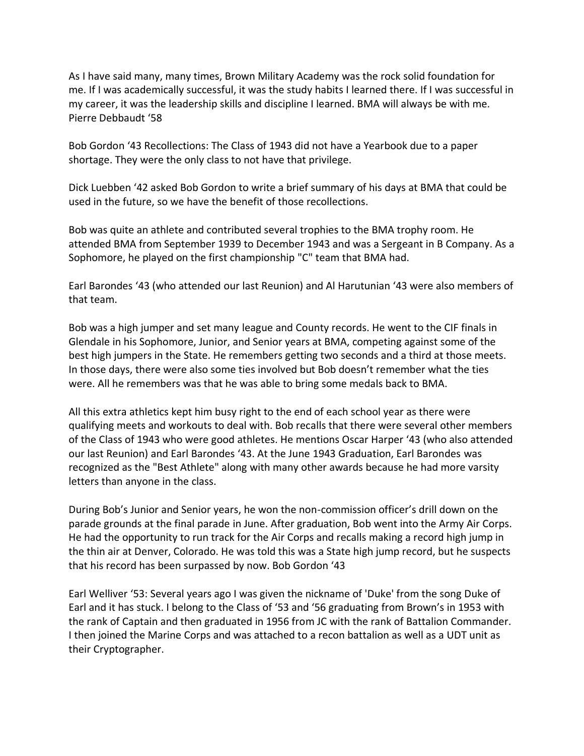As I have said many, many times, Brown Military Academy was the rock solid foundation for me. If I was academically successful, it was the study habits I learned there. If I was successful in my career, it was the leadership skills and discipline I learned. BMA will always be with me. Pierre Debbaudt '58

Bob Gordon '43 Recollections: The Class of 1943 did not have a Yearbook due to a paper shortage. They were the only class to not have that privilege.

Dick Luebben '42 asked Bob Gordon to write a brief summary of his days at BMA that could be used in the future, so we have the benefit of those recollections.

Bob was quite an athlete and contributed several trophies to the BMA trophy room. He attended BMA from September 1939 to December 1943 and was a Sergeant in B Company. As a Sophomore, he played on the first championship "C" team that BMA had.

Earl Barondes '43 (who attended our last Reunion) and Al Harutunian '43 were also members of that team.

Bob was a high jumper and set many league and County records. He went to the CIF finals in Glendale in his Sophomore, Junior, and Senior years at BMA, competing against some of the best high jumpers in the State. He remembers getting two seconds and a third at those meets. In those days, there were also some ties involved but Bob doesn't remember what the ties were. All he remembers was that he was able to bring some medals back to BMA.

All this extra athletics kept him busy right to the end of each school year as there were qualifying meets and workouts to deal with. Bob recalls that there were several other members of the Class of 1943 who were good athletes. He mentions Oscar Harper '43 (who also attended our last Reunion) and Earl Barondes '43. At the June 1943 Graduation, Earl Barondes was recognized as the "Best Athlete" along with many other awards because he had more varsity letters than anyone in the class.

During Bob's Junior and Senior years, he won the non-commission officer's drill down on the parade grounds at the final parade in June. After graduation, Bob went into the Army Air Corps. He had the opportunity to run track for the Air Corps and recalls making a record high jump in the thin air at Denver, Colorado. He was told this was a State high jump record, but he suspects that his record has been surpassed by now. Bob Gordon '43

Earl Welliver '53: Several years ago I was given the nickname of 'Duke' from the song Duke of Earl and it has stuck. I belong to the Class of '53 and '56 graduating from Brown's in 1953 with the rank of Captain and then graduated in 1956 from JC with the rank of Battalion Commander. I then joined the Marine Corps and was attached to a recon battalion as well as a UDT unit as their Cryptographer.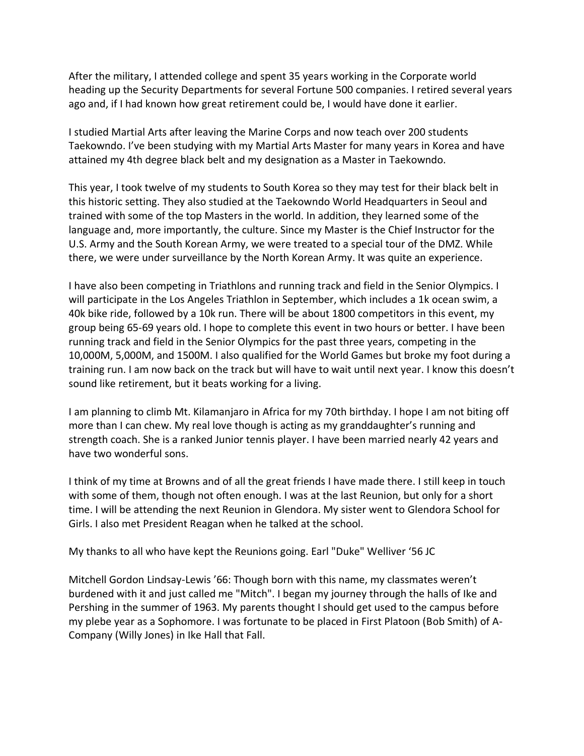After the military, I attended college and spent 35 years working in the Corporate world heading up the Security Departments for several Fortune 500 companies. I retired several years ago and, if I had known how great retirement could be, I would have done it earlier.

I studied Martial Arts after leaving the Marine Corps and now teach over 200 students Taekowndo. I've been studying with my Martial Arts Master for many years in Korea and have attained my 4th degree black belt and my designation as a Master in Taekowndo.

This year, I took twelve of my students to South Korea so they may test for their black belt in this historic setting. They also studied at the Taekowndo World Headquarters in Seoul and trained with some of the top Masters in the world. In addition, they learned some of the language and, more importantly, the culture. Since my Master is the Chief Instructor for the U.S. Army and the South Korean Army, we were treated to a special tour of the DMZ. While there, we were under surveillance by the North Korean Army. It was quite an experience.

I have also been competing in Triathlons and running track and field in the Senior Olympics. I will participate in the Los Angeles Triathlon in September, which includes a 1k ocean swim, a 40k bike ride, followed by a 10k run. There will be about 1800 competitors in this event, my group being 65-69 years old. I hope to complete this event in two hours or better. I have been running track and field in the Senior Olympics for the past three years, competing in the 10,000M, 5,000M, and 1500M. I also qualified for the World Games but broke my foot during a training run. I am now back on the track but will have to wait until next year. I know this doesn't sound like retirement, but it beats working for a living.

I am planning to climb Mt. Kilamanjaro in Africa for my 70th birthday. I hope I am not biting off more than I can chew. My real love though is acting as my granddaughter's running and strength coach. She is a ranked Junior tennis player. I have been married nearly 42 years and have two wonderful sons.

I think of my time at Browns and of all the great friends I have made there. I still keep in touch with some of them, though not often enough. I was at the last Reunion, but only for a short time. I will be attending the next Reunion in Glendora. My sister went to Glendora School for Girls. I also met President Reagan when he talked at the school.

My thanks to all who have kept the Reunions going. Earl "Duke" Welliver '56 JC

Mitchell Gordon Lindsay-Lewis '66: Though born with this name, my classmates weren't burdened with it and just called me "Mitch". I began my journey through the halls of Ike and Pershing in the summer of 1963. My parents thought I should get used to the campus before my plebe year as a Sophomore. I was fortunate to be placed in First Platoon (Bob Smith) of A-Company (Willy Jones) in Ike Hall that Fall.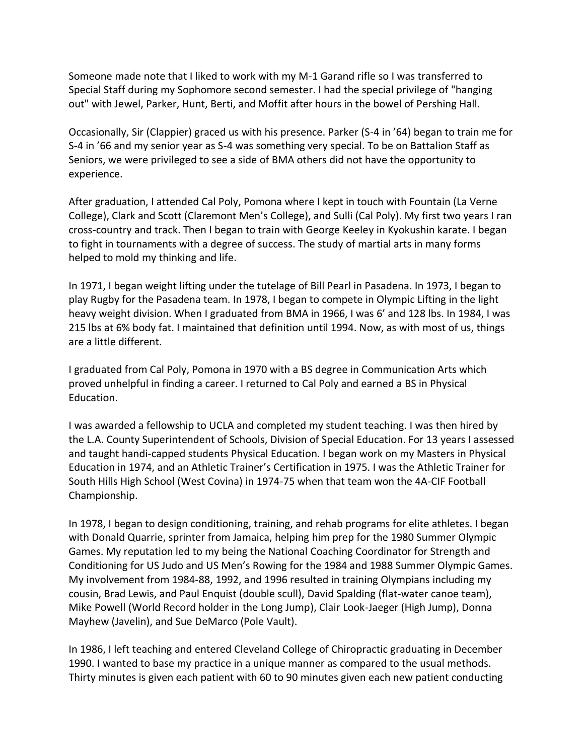Someone made note that I liked to work with my M-1 Garand rifle so I was transferred to Special Staff during my Sophomore second semester. I had the special privilege of "hanging out" with Jewel, Parker, Hunt, Berti, and Moffit after hours in the bowel of Pershing Hall.

Occasionally, Sir (Clappier) graced us with his presence. Parker (S-4 in '64) began to train me for S-4 in '66 and my senior year as S-4 was something very special. To be on Battalion Staff as Seniors, we were privileged to see a side of BMA others did not have the opportunity to experience.

After graduation, I attended Cal Poly, Pomona where I kept in touch with Fountain (La Verne College), Clark and Scott (Claremont Men's College), and Sulli (Cal Poly). My first two years I ran cross-country and track. Then I began to train with George Keeley in Kyokushin karate. I began to fight in tournaments with a degree of success. The study of martial arts in many forms helped to mold my thinking and life.

In 1971, I began weight lifting under the tutelage of Bill Pearl in Pasadena. In 1973, I began to play Rugby for the Pasadena team. In 1978, I began to compete in Olympic Lifting in the light heavy weight division. When I graduated from BMA in 1966, I was 6' and 128 lbs. In 1984, I was 215 lbs at 6% body fat. I maintained that definition until 1994. Now, as with most of us, things are a little different.

I graduated from Cal Poly, Pomona in 1970 with a BS degree in Communication Arts which proved unhelpful in finding a career. I returned to Cal Poly and earned a BS in Physical Education.

I was awarded a fellowship to UCLA and completed my student teaching. I was then hired by the L.A. County Superintendent of Schools, Division of Special Education. For 13 years I assessed and taught handi-capped students Physical Education. I began work on my Masters in Physical Education in 1974, and an Athletic Trainer's Certification in 1975. I was the Athletic Trainer for South Hills High School (West Covina) in 1974-75 when that team won the 4A-CIF Football Championship.

In 1978, I began to design conditioning, training, and rehab programs for elite athletes. I began with Donald Quarrie, sprinter from Jamaica, helping him prep for the 1980 Summer Olympic Games. My reputation led to my being the National Coaching Coordinator for Strength and Conditioning for US Judo and US Men's Rowing for the 1984 and 1988 Summer Olympic Games. My involvement from 1984-88, 1992, and 1996 resulted in training Olympians including my cousin, Brad Lewis, and Paul Enquist (double scull), David Spalding (flat-water canoe team), Mike Powell (World Record holder in the Long Jump), Clair Look-Jaeger (High Jump), Donna Mayhew (Javelin), and Sue DeMarco (Pole Vault).

In 1986, I left teaching and entered Cleveland College of Chiropractic graduating in December 1990. I wanted to base my practice in a unique manner as compared to the usual methods. Thirty minutes is given each patient with 60 to 90 minutes given each new patient conducting